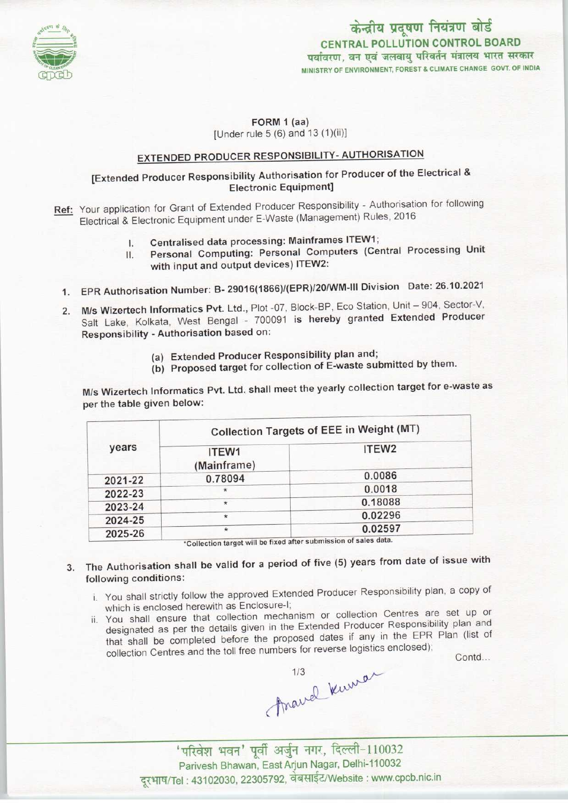

#### FORM <sup>1</sup> (aa) [Under rule  $5(6)$  and  $13(1)(ii)$ ]

## EXTENDED PRODUCER RESPONSIBILITY- AUTHORISATION

### [Extended Producer Responsibility Authorisation for Producer of the Electrical & Electronic Equipment]

- Ref: Your application for Grant of Extended Producer Responsibility Authorisation for following Electrical & Electronic Equipment under E-Waste (Management) Rules, 2016
	- I. Centralised data processing: Mainframes ITEW1;
	- II. Personal Computing: Personal Computers (Central Processing Unit with input and output devices) ITEW2:
	- 1.EPR Authorisation Number: B- 29016(1866)/(EPR)/20/WM-lll Division Date: 26.10.2021
	- 2. M/s Wizertech Informatics Pvt. Ltd., Plot -07, Block-BP, Eco Station, Unit 904, Sector-V, Salt Lake, Kolkata, West Bengal - 700091 is hereby granted Extended Producer Responsibility - Authorisation based on:
		- (a)Extended Producer Responsibility plan and;
		- (b) Proposed target for collection of E-waste submitted by them.

M/s Wizertech Informatics Pvt. Ltd. shall meet the yearly collection target for e-waste as per the table given below:

| years   | Collection Targets of EEE in Weight (MT) |                   |
|---------|------------------------------------------|-------------------|
|         | ITEW1<br>(Mainframe)                     | ITEW <sub>2</sub> |
| 2021-22 | 0.78094                                  | 0.0086            |
| 2022-23 | $\star$                                  | 0.0018            |
| 2023-24 | $\star$                                  | 0.18088           |
| 2024-25 | $\star$                                  | 0.02296           |
| 2025-26 | $\star$                                  | 0.02597           |

\*Collection target will be fixed after submission of sales data.

- 3. The Authorisation shall be valid for a period of five (5) years from date of issue with following conditions:
	- i. You shall strictly follow the approved Extended Producer Responsibility plan, a copy of which is enclosed herewith as Enclosure-I;
	- ii. You shall ensure that collection mechanism or collection Centres are set up or designated as per the details given in the Extended Producer Responsibility plan and designated as per the details given in the Extended Producer Responsibility plan and<br>that shall be completed before the proposed dates if any in the EPR Plan (list of You shall ensure that collection mechanism of collection centres are set appled designated as per the details given in the Extended Producer Responsibility plan and that shall be completed before the proposed dates if any

Anavel Kumar

' परिवेश भवन' पूर्वी अर्जुन नगर, दिल्ली-110032 Parivesh Bhawan, East Arjun Nagar, Delhi-110032 दूरभाष/Tel: 43102030, 22305792, वेबसाईट/Website : www.cpcb.nic.in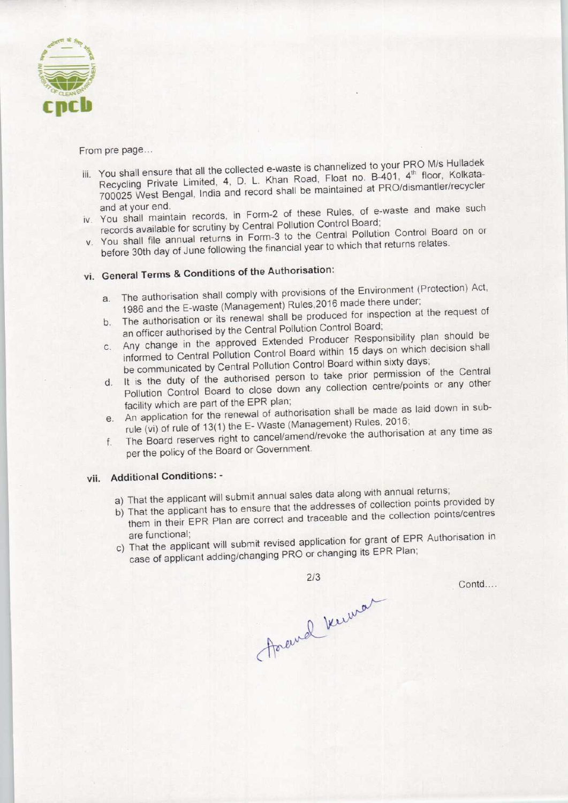

From pre page...

- is channelized to your PRO M/s Hulladek You shall ensure that all the collected e-waste is channelized to your PRO was Hullace. Recycling Private Limited, 4, D. L. Khan Road, Float no. B-401, 4<sup>th</sup> floor, Kolkata-<br>700025 West Bengal, India and record shall be maintained at PRO/dismantler/recycler and at your end.<br>and at your end.
- records available for scrutiny by Central Pollution Control Board;
- v. You shall file annual returns in Form-3 to the Central Pollution Control Board on or before 30th day of June following the financial year to which that returns relates.

# vi. General Terms & Conditions of the Authorisation:

- a.The authorisation shall comply with provisions of the Environment (Protection) Act, a. The authorisation shall comply will provisions of the two thermals.<br>1986 and the E-waste (Management) Rules, 2016 made there under;<br>The authorisation or its renewal shall be produced for inspection at the request of
- The authorisation or its renewal shall be produced for inspection at the request of an officer authorised by the Central Pollution Control Board;
- b. The authorisation or its renewal shall be produced.<br>an officer authorised by the Central Pollution Control Board;<br>c. Any change in the approved Extended Producer Responsibility plan should be informed to Central Pollution Control Board within 15 days on which decision shall be communicated by Central Pollution Control Board within sixty days;
- d. It is the duty of the authorised person to take prior permission of the Central Pollution Control Board to close down any collection centre/points or any other facility which are part of the EPR plan;
- e. An application for the renewal of authorisation shall be made as laid down in subrule (vi) of rule of 13(1) the E- Waste (Management) Rules, 2016;
- f. The Board reserves right to cancel/amend/revoke the authorisation at any time as per the policy of the Board or Government.

### vii. Additional Conditions: -

- a) That the applicant will submit annual sales data along with annual returns;
- b) That the applicant has to ensure that the addresses of collection points provided by them in their EPR Plan are correct and traceable and the collection points/centres
- are functional;<br>That will submit revised application for grant of EPR Authorisation in case of applicant adding/changing PRO or changing its EPR Plan;

2/3

Arewel know

Contd....